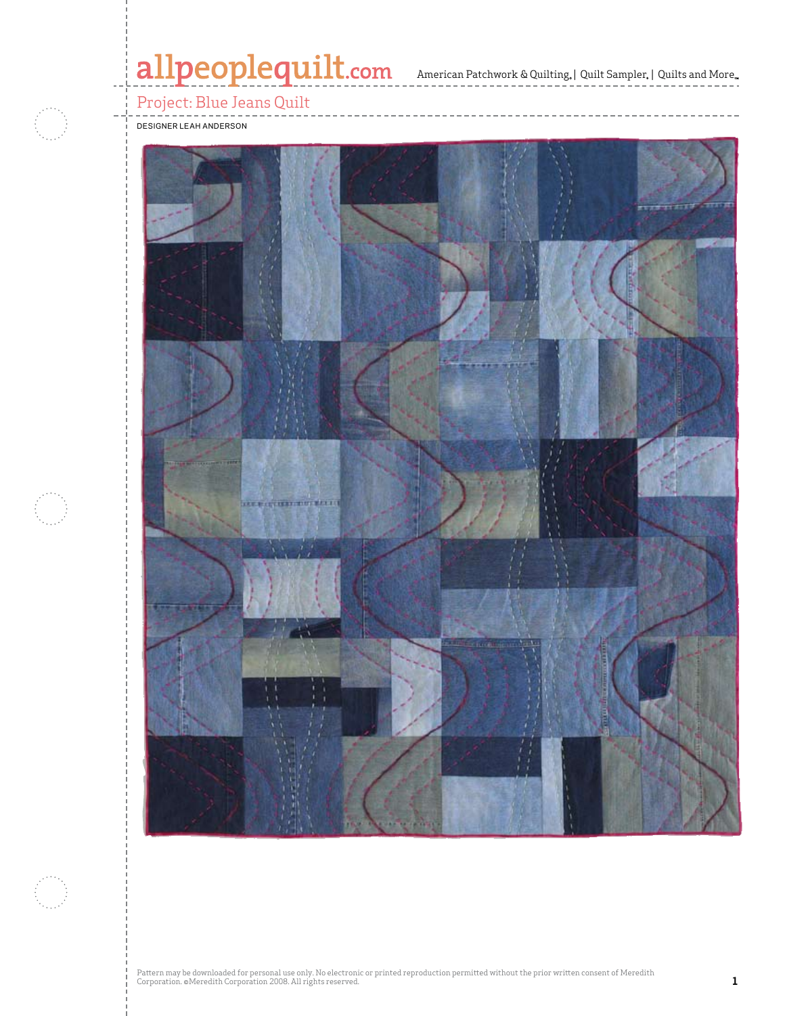# allpeoplequilt.com<br>American Patchwork & Quilting, | Quilt Sampler, | Quilts and More..



Project: Blue Jeans Quilt

designer leah anderson

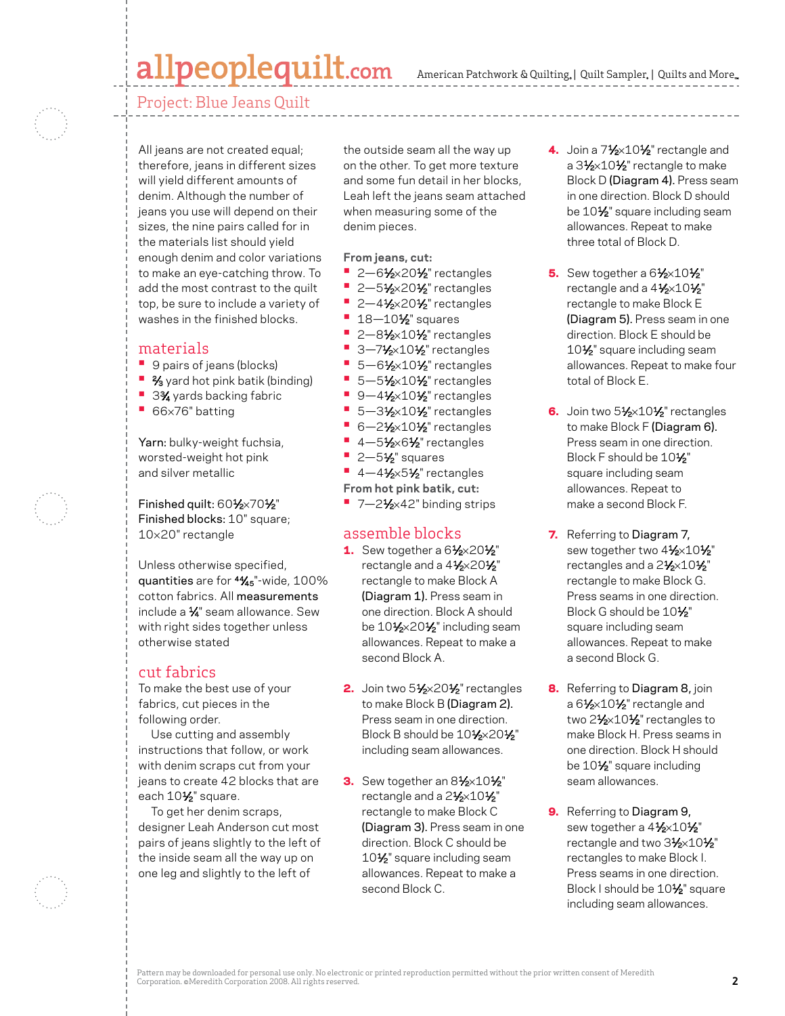### allpeoplequilt.com

American Patchwork & Quilting, | Quilt Sampler, | Quilts and More.

Project: Blue Jeans Quilt

All jeans are not created equal; therefore, jeans in different sizes will yield different amounts of denim. Although the number of jeans you use will depend on their sizes, the nine pairs called for in the materials list should yield enough denim and color variations to make an eye-catching throw. To add the most contrast to the quilt top, be sure to include a variety of washes in the finished blocks.

#### materials

- **•**  9 pairs of jeans (blocks)
- <sup>2</sup>/<sub>3</sub> yard hot pink batik (binding)
- **3%** yards backing fabric
- **•**  <sup>66</sup>×76" batting

Yarn: bulky-weight fuchsia, worsted-weight hot pink and silver metallic

Finished quilt: 601⁄2×701⁄2" Finished blocks: 10" square; 10×20" rectangle

Unless otherwise specified, quantities are for 44⁄45"-wide, 100% cotton fabrics. All measurements include a 1⁄4" seam allowance. Sew with right sides together unless otherwise stated

#### cut fabrics

To make the best use of your fabrics, cut pieces in the following order.

Use cutting and assembly instructions that follow, or work with denim scraps cut from your jeans to create 42 blocks that are each  $10\frac{1}{2}$ " square.

To get her denim scraps, designer Leah Anderson cut most pairs of jeans slightly to the left of the inside seam all the way up on one leg and slightly to the left of

the outside seam all the way up on the other. To get more texture and some fun detail in her blocks, Leah left the jeans seam attached when measuring some of the denim pieces.

**From jeans, cut:**

- **•** 2-61⁄2×201⁄2" rectangles
- **2–51/2×201/2** rectangles
- **<sup>•</sup>** 2-41⁄2×201⁄2" rectangles
- **•** 18-10<sup>1</sup>/<sub>2</sub>" squares
- **•** 2-81⁄2×10<sup>1</sup>⁄2" rectangles
- **•** 3-71⁄2×10<sup>1</sup>⁄2" rectangles
- **•** 5-61⁄2×10<sup>1</sup>/<sub>2</sub>" rectangles
- **•** 5-51⁄2×10<sup>1</sup>⁄2" rectangles
- **•** 9-41/<sub>2</sub>×101/<sub>2</sub>" rectangles
- 5-31⁄2×10<sup>1</sup>⁄2" rectangles
- **6-21/2×101/2** rectangles
- **•** 4-51⁄2×61⁄2" rectangles
- **•** 2-5<sup>1</sup>⁄<sub>2</sub>" squares
- 4-41⁄2×51⁄2" rectangles
- **From hot pink batik, cut:**
- 7-2<sup>1</sup>⁄<sub>2</sub>×42" binding strips

#### assemble blocks

- 1. Sew together a  $6\frac{1}{2} \times 20\frac{1}{2}$ " rectangle and a 41⁄2×201⁄2" rectangle to make Block A (Diagram 1). Press seam in one direction. Block A should be 10<sup>1</sup>/<sub>2</sub>×20<sup>1</sup>/<sub>2</sub>" including seam allowances. Repeat to make a second Block A.
- 2. Join two 51⁄2×201⁄2" rectangles to make Block B (Diagram 2). Press seam in one direction. Block B should be 10<sup>1</sup>/<sub>2</sub>×20<sup>1</sup>/<sub>2</sub>" including seam allowances.
- 3. Sew together an  $8\frac{1}{2}\times10\frac{1}{2}$ " rectangle and a 2<sup>1</sup>/<sub>2</sub>×10<sup>1</sup>/<sub>2</sub>" rectangle to make Block C (Diagram 3). Press seam in one direction. Block C should be 10<sup>1</sup>/<sub>2</sub>" square including seam allowances. Repeat to make a second Block C.
- 4. Join a  $7\frac{1}{2} \times 10\frac{1}{2}$ " rectangle and a 31⁄2×101⁄2" rectangle to make Block D (Diagram 4). Press seam in one direction. Block D should be 10<sup>1</sup>/<sub>2</sub>" square including seam allowances. Repeat to make three total of Block D.
- 5. Sew together a  $6\frac{1}{2} \times 10\frac{1}{2}$ " rectangle and a 41⁄2×101⁄2" rectangle to make Block E (Diagram 5). Press seam in one direction. Block E should be 10<sup>1</sup>/<sub>2</sub>" square including seam allowances. Repeat to make four total of Block E.
- 6. Join two  $5\frac{1}{2} \times 10\frac{1}{2}$ " rectangles to make Block F (Diagram 6). Press seam in one direction. Block F should be  $10\frac{1}{2}$ " square including seam allowances. Repeat to make a second Block F.
- 7. Referring to Diagram 7, sew together two 41⁄2×101⁄2" rectangles and a 21⁄2×101⁄2" rectangle to make Block G. Press seams in one direction. Block G should be 10<sup>1/2</sup> square including seam allowances. Repeat to make a second Block G.
- 8. Referring to Diagram 8, join a 61⁄2×10<sup>1</sup>⁄2" rectangle and two 21⁄2×101⁄2" rectangles to make Block H. Press seams in one direction. Block H should be 10<sup>1</sup>/<sub>2</sub>" square including seam allowances.
- 9. Referring to Diagram 9, sew together a 41⁄2×101⁄2" rectangle and two 31/2×101/2" rectangles to make Block I. Press seams in one direction. Block I should be 10<sup>1/2</sup> square including seam allowances.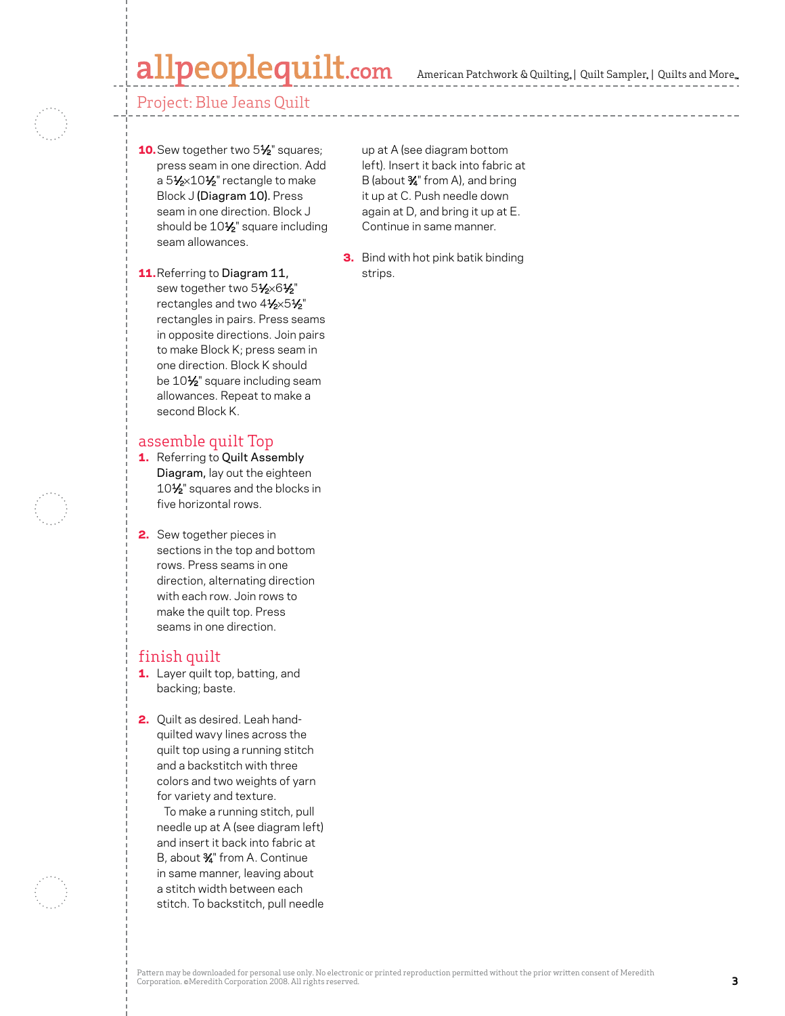### lpeoplequilt.com



#### Project: Blue Jeans Quilt

- 10. Sew together two 5½" squares; press seam in one direction. Add a 51⁄2×101⁄2" rectangle to make Block J (Diagram 10). Press seam in one direction. Block J should be  $10\frac{1}{2}$ " square including seam allowances.
- 11.Referring to Diagram 11, sew together two 51/2×61/2" rectangles and two 41/2×51/2" rectangles in pairs. Press seams in opposite directions. Join pairs to make Block K; press seam in one direction. Block K should be 10<sup>1</sup>/<sub>2</sub>" square including seam allowances. Repeat to make a second Block K.

#### assemble quilt Top

- 1. Referring to Quilt Assembly Diagram, lay out the eighteen 10<sup>1</sup>/<sub>2</sub>" squares and the blocks in five horizontal rows.
- **2.** Sew together pieces in sections in the top and bottom rows. Press seams in one direction, alternating direction with each row. Join rows to make the quilt top. Press seams in one direction.

#### finish quilt

- 1. Layer quilt top, batting, and backing; baste.
- 2. Quilt as desired. Leah handquilted wavy lines across the quilt top using a running stitch and a backstitch with three colors and two weights of yarn for variety and texture.

 To make a running stitch, pull needle up at A (see diagram left) and insert it back into fabric at B, about 3⁄4" from A. Continue in same manner, leaving about a stitch width between each stitch. To backstitch, pull needle up at A (see diagram bottom left). Insert it back into fabric at B (about  $\frac{3}{4}$ " from A), and bring it up at C. Push needle down again at D, and bring it up at E. Continue in same manner.

**3.** Bind with hot pink batik binding strips.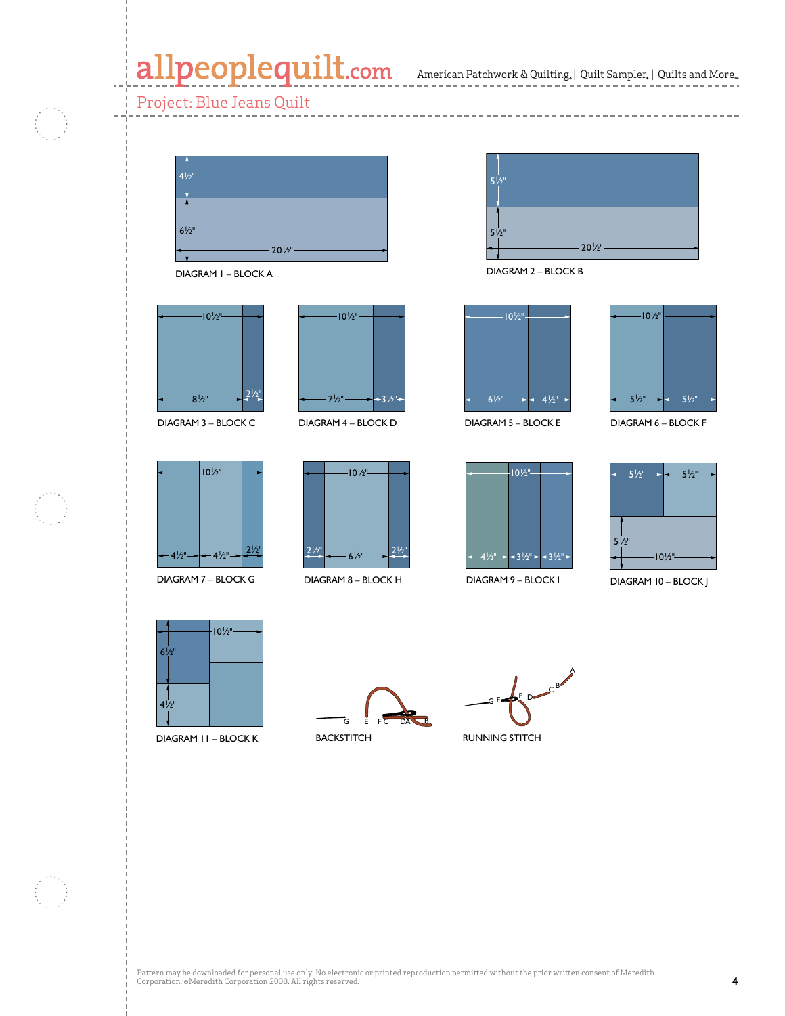### allpeoplequilt.com American Patchwork & Quilting, | Quilt Sampler, | Quilts and More...

#### Project: Blue Jeans Quilt



DIAGRAM 1 – BLOCK A



DIAGRAM 3 – BLOCK C



DIAGRAM 7 – BLOCK G



DIAGRAM 4 – BLOCK D



DIAGRAM 8 – BLOCK H



DIAGRAM 2 – BLOCK B



DIAGRAM 5 – BLOCK E



DIAGRAM 6 – BLOCK F



DIAGRAM 9 – BLOCK I



DIAGRAM 10 - BLOCK J APQ December 2006



DIAGRAM 11 – BLOCK K

G E FC DA B

**BACKSTITCH** 

A  $G F \rightarrow E D$ 

RUNNING STITCH